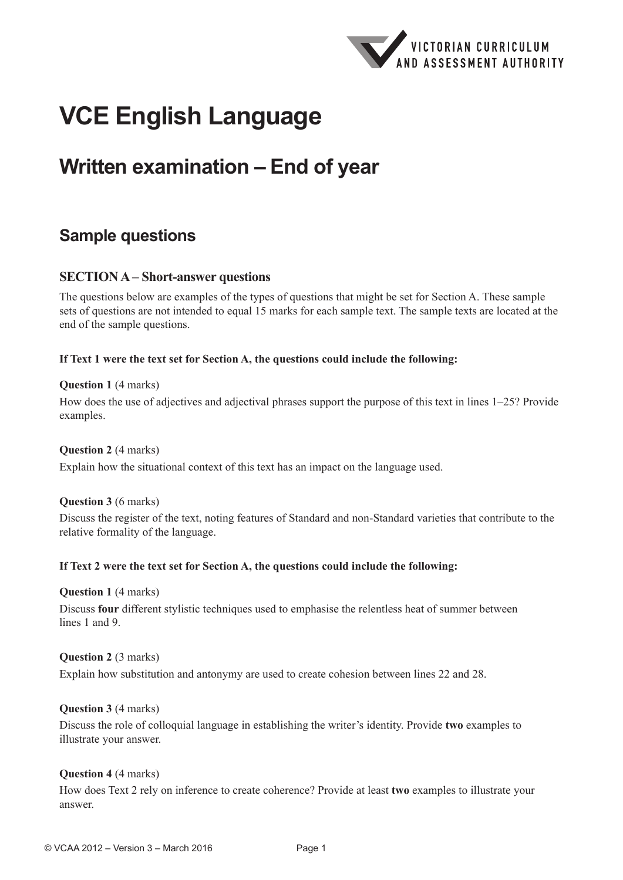

# **VCE English Language**

## **Written examination – End of year**

## **Sample questions**

#### **SECTION A – Short-answer questions**

The questions below are examples of the types of questions that might be set for Section A. These sample sets of questions are not intended to equal 15 marks for each sample text. The sample texts are located at the end of the sample questions.

#### **If Text 1 were the text set for Section A, the questions could include the following:**

#### **Question 1** (4 marks)

How does the use of adjectives and adjectival phrases support the purpose of this text in lines 1–25? Provide examples.

#### **Question 2** (4 marks)

Explain how the situational context of this text has an impact on the language used.

#### **Question 3** (6 marks)

Discuss the register of the text, noting features of Standard and non-Standard varieties that contribute to the relative formality of the language.

#### **If Text 2 were the text set for Section A, the questions could include the following:**

**Question 1** (4 marks)

Discuss **four** different stylistic techniques used to emphasise the relentless heat of summer between lines 1 and 9

#### **Question 2** (3 marks)

Explain how substitution and antonymy are used to create cohesion between lines 22 and 28.

#### **Question 3** (4 marks)

Discuss the role of colloquial language in establishing the writer's identity. Provide **two** examples to illustrate your answer.

#### **Question 4** (4 marks)

How does Text 2 rely on inference to create coherence? Provide at least **two** examples to illustrate your answer.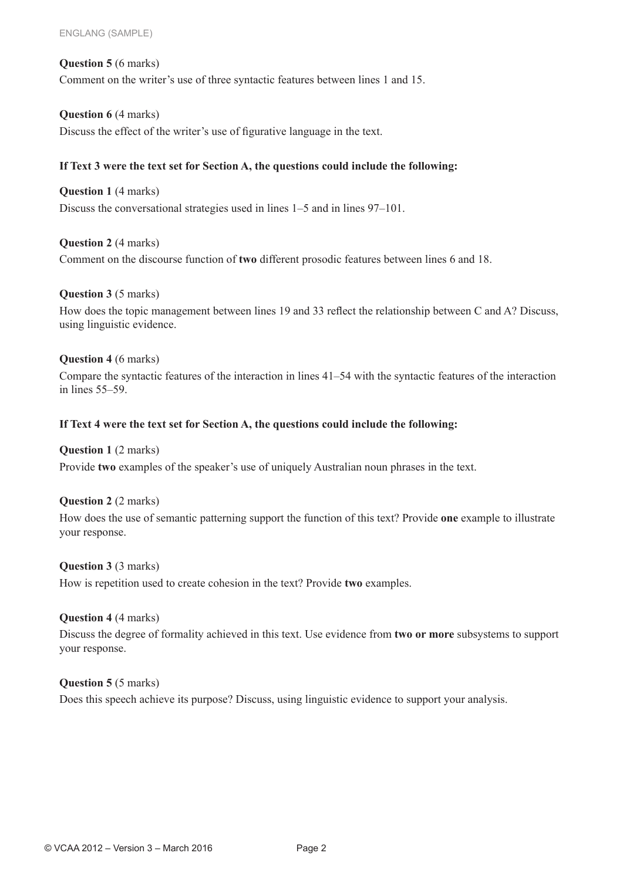#### **Question 5** (6 marks)

Comment on the writer's use of three syntactic features between lines 1 and 15.

#### **Question 6** (4 marks)

Discuss the effect of the writer's use of figurative language in the text.

#### **If Text 3 were the text set for Section A, the questions could include the following:**

**Question 1** (4 marks) Discuss the conversational strategies used in lines 1–5 and in lines 97–101.

#### **Question 2** (4 marks)

Comment on the discourse function of **two** different prosodic features between lines 6 and 18.

#### **Question 3** (5 marks)

How does the topic management between lines 19 and 33 reflect the relationship between C and A? Discuss, using linguistic evidence.

#### **Question 4** (6 marks)

Compare the syntactic features of the interaction in lines 41–54 with the syntactic features of the interaction in lines 55–59.

#### **If Text 4 were the text set for Section A, the questions could include the following:**

#### **Question 1** (2 marks)

Provide **two** examples of the speaker's use of uniquely Australian noun phrases in the text.

#### **Question 2** (2 marks)

How does the use of semantic patterning support the function of this text? Provide **one** example to illustrate your response.

#### **Question 3** (3 marks)

How is repetition used to create cohesion in the text? Provide **two** examples.

#### **Question 4** (4 marks)

Discuss the degree of formality achieved in this text. Use evidence from **two or more** subsystems to support your response.

#### **Question 5** (5 marks)

Does this speech achieve its purpose? Discuss, using linguistic evidence to support your analysis.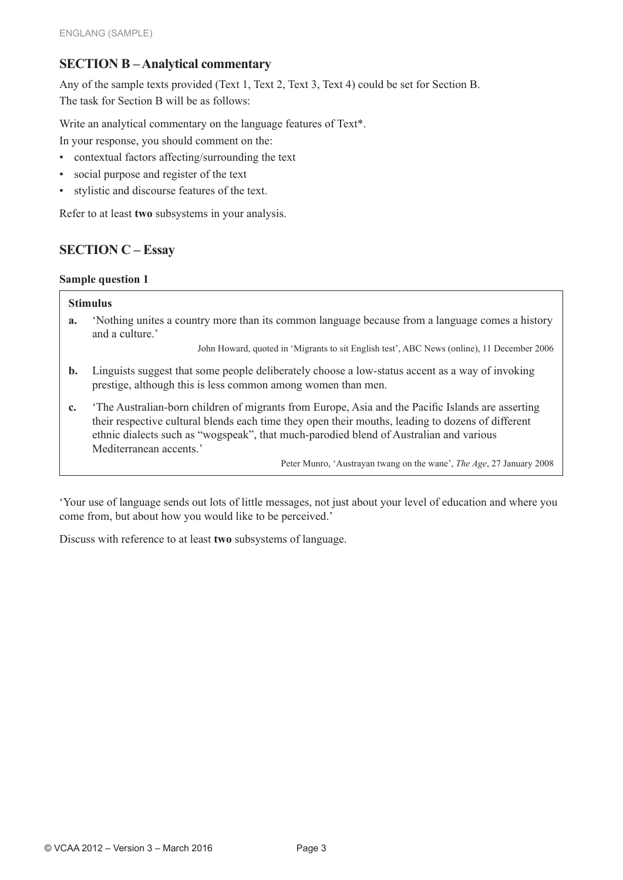### **SECTION B – Analytical commentary**

Any of the sample texts provided (Text 1, Text 2, Text 3, Text 4) could be set for Section B. The task for Section B will be as follows:

Write an analytical commentary on the language features of Text\*.

In your response, you should comment on the:

- contextual factors affecting/surrounding the text
- social purpose and register of the text
- stylistic and discourse features of the text.

Refer to at least **two** subsystems in your analysis.

## **SECTION C – Essay**

#### **Sample question 1**

#### **Stimulus**

**a.** 'Nothing unites a country more than its common language because from a language comes a history and a culture.'

John Howard, quoted in 'Migrants to sit English test', ABC News (online), 11 December 2006

- **b.** Linguists suggest that some people deliberately choose a low-status accent as a way of invoking prestige, although this is less common among women than men.
- **c.** 'The Australian-born children of migrants from Europe, Asia and the Pacific Islands are asserting their respective cultural blends each time they open their mouths, leading to dozens of different ethnic dialects such as "wogspeak", that much-parodied blend of Australian and various Mediterranean accents.'

Peter Munro, 'Austrayan twang on the wane', *The Age*, 27 January 2008

'Your use of language sends out lots of little messages, not just about your level of education and where you come from, but about how you would like to be perceived.'

Discuss with reference to at least **two** subsystems of language.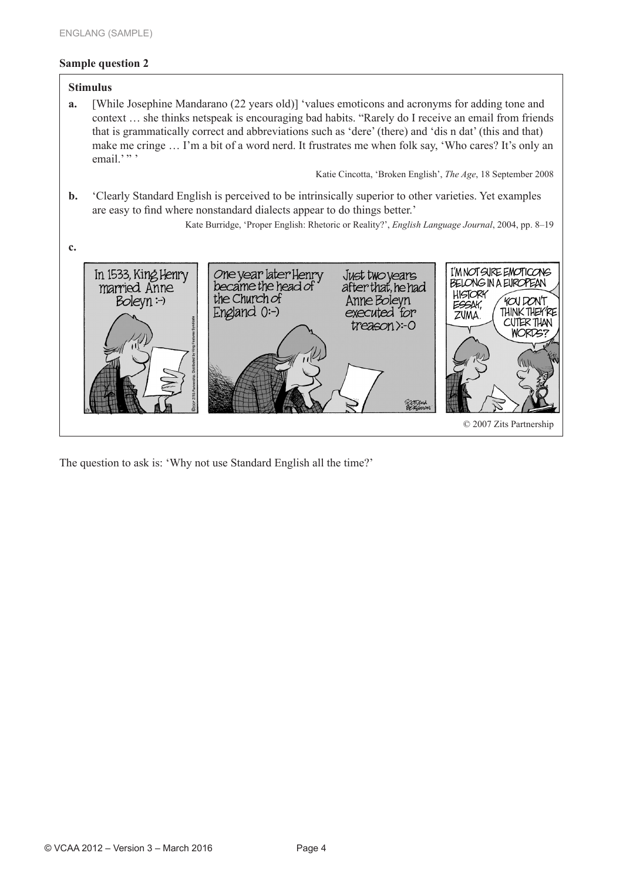#### **Sample question 2**

#### **Stimulus a.** [While Josephine Mandarano (22 years old)] 'values emoticons and acronyms for adding tone and context … she thinks netspeak is encouraging bad habits. "Rarely do I receive an email from friends that is grammatically correct and abbreviations such as 'dere' (there) and 'dis n dat' (this and that) make me cringe … I'm a bit of a word nerd. It frustrates me when folk say, 'Who cares? It's only an email.'"' Katie Cincotta, 'Broken English', *The Age*, 18 September 2008 **b.** 'Clearly Standard English is perceived to be intrinsically superior to other varieties. Yet examples are easy to find where nonstandard dialects appear to do things better.' Kate Burridge, 'Proper English: Rhetoric or Reality?', *English Language Journal*, 2004, pp. 8–19 **c.** One year later Henry<br>became the head of I'M NOT SURE EMOTICONS Just two years<br>after that, he had In 1533, King Henry BELONG IN A EUROPEAN married Anne **HISTORY** the Church of  $Boleyn: \neg$ Anne Boleyn FOUDONT ESSAY, THINK THEY'RE England  $0$ :-) executed for ZUMA. CUTER THAN treason > -0 **WORDS?** © 2007 Zits Partnership

The question to ask is: 'Why not use Standard English all the time?'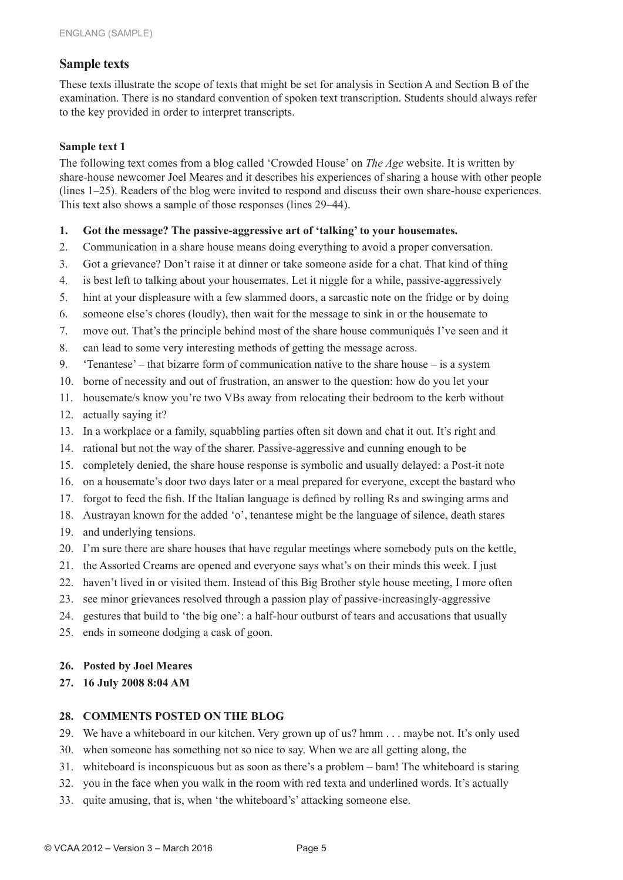#### **Sample texts**

These texts illustrate the scope of texts that might be set for analysis in Section A and Section B of the examination. There is no standard convention of spoken text transcription. Students should always refer to the key provided in order to interpret transcripts.

#### **Sample text 1**

The following text comes from a blog called 'Crowded House' on *The Age* website. It is written by share-house newcomer Joel Meares and it describes his experiences of sharing a house with other people (lines 1–25). Readers of the blog were invited to respond and discuss their own share-house experiences. This text also shows a sample of those responses (lines 29–44).

- **1. Got the message? The passive-aggressive art of 'talking' to your housemates.**
- 2. Communication in a share house means doing everything to avoid a proper conversation.
- 3. Got a grievance? Don't raise it at dinner or take someone aside for a chat. That kind of thing
- 4. is best left to talking about your housemates. Let it niggle for a while, passive-aggressively
- 5. hint at your displeasure with a few slammed doors, a sarcastic note on the fridge or by doing
- 6. someone else's chores (loudly), then wait for the message to sink in or the housemate to
- 7. move out. That's the principle behind most of the share house communiqués I've seen and it
- 8. can lead to some very interesting methods of getting the message across.
- 9. 'Tenantese' that bizarre form of communication native to the share house is a system
- 10. borne of necessity and out of frustration, an answer to the question: how do you let your
- 11. housemate/s know you're two VBs away from relocating their bedroom to the kerb without
- 12. actually saying it?
- 13. In a workplace or a family, squabbling parties often sit down and chat it out. It's right and
- 14. rational but not the way of the sharer. Passive-aggressive and cunning enough to be
- 15. completely denied, the share house response is symbolic and usually delayed: a Post-it note
- 16. on a housemate's door two days later or a meal prepared for everyone, except the bastard who
- 17. forgot to feed the fish. If the Italian language is defined by rolling Rs and swinging arms and
- 18. Austrayan known for the added 'o', tenantese might be the language of silence, death stares
- 19. and underlying tensions.
- 20. I'm sure there are share houses that have regular meetings where somebody puts on the kettle,
- 21. the Assorted Creams are opened and everyone says what's on their minds this week. I just
- 22. haven't lived in or visited them. Instead of this Big Brother style house meeting, I more often
- 23. see minor grievances resolved through a passion play of passive-increasingly-aggressive
- 24. gestures that build to 'the big one': a half-hour outburst of tears and accusations that usually
- 25. ends in someone dodging a cask of goon.

#### **26. Posted by Joel Meares**

#### **27. 16 July 2008 8:04 AM**

#### **28. COMMENTS POSTED ON THE BLOG**

- 29. We have a whiteboard in our kitchen. Very grown up of us? hmm . . . maybe not. It's only used
- 30. when someone has something not so nice to say. When we are all getting along, the
- 31. whiteboard is inconspicuous but as soon as there's a problem bam! The whiteboard is staring
- 32. you in the face when you walk in the room with red texta and underlined words. It's actually
- 33. quite amusing, that is, when 'the whiteboard's' attacking someone else.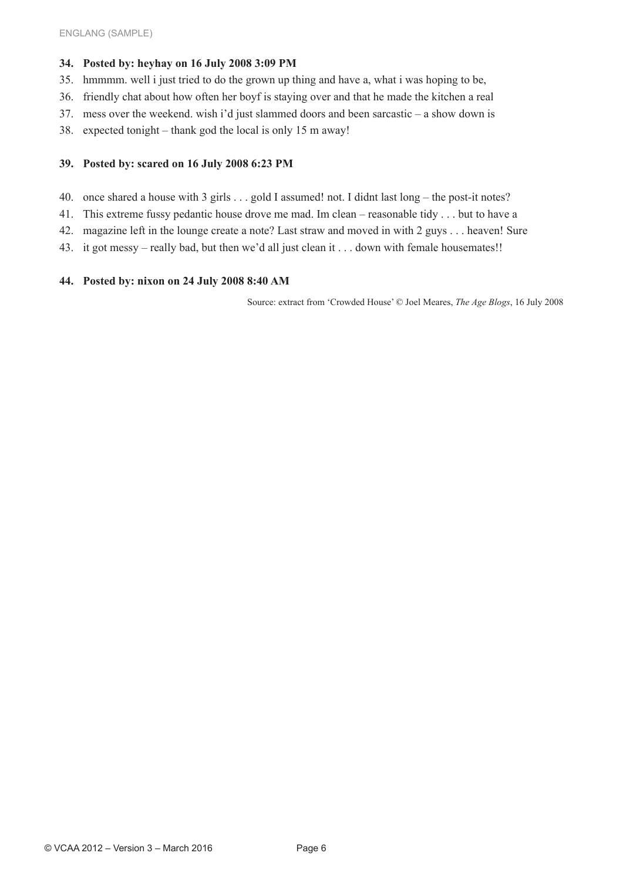#### **34. Posted by: heyhay on 16 July 2008 3:09 PM**

- 35. hmmmm. well i just tried to do the grown up thing and have a, what i was hoping to be,
- 36. friendly chat about how often her boyf is staying over and that he made the kitchen a real
- 37. mess over the weekend. wish i'd just slammed doors and been sarcastic a show down is
- 38. expected tonight thank god the local is only 15 m away!

#### **39. Posted by: scared on 16 July 2008 6:23 PM**

- 40. once shared a house with 3 girls . . . gold I assumed! not. I didnt last long the post-it notes?
- 41. This extreme fussy pedantic house drove me mad. Im clean reasonable tidy . . . but to have a
- 42. magazine left in the lounge create a note? Last straw and moved in with 2 guys . . . heaven! Sure
- 43. it got messy really bad, but then we'd all just clean it . . . down with female housemates!!

#### **44. Posted by: nixon on 24 July 2008 8:40 AM**

Source: extract from 'Crowded House' © Joel Meares, *The Age Blogs*, 16 July 2008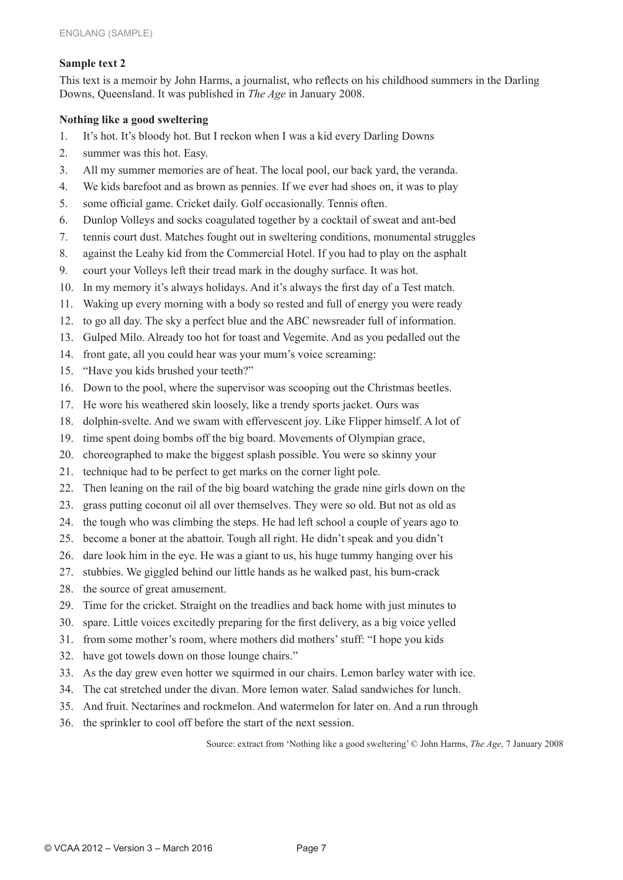#### **Sample text 2**

This text is a memoir by John Harms, a journalist, who reflects on his childhood summers in the Darling Downs, Queensland. It was published in *The Age* in January 2008.

#### **Nothing like a good sweltering**

- 1. It's hot. It's bloody hot. But I reckon when I was a kid every Darling Downs
- 2. summer was this hot. Easy.
- 3. All my summer memories are of heat. The local pool, our back yard, the veranda.
- 4. We kids barefoot and as brown as pennies. If we ever had shoes on, it was to play
- 5. some official game. Cricket daily. Golf occasionally. Tennis often.
- 6. Dunlop Volleys and socks coagulated together by a cocktail of sweat and ant-bed
- 7. tennis court dust. Matches fought out in sweltering conditions, monumental struggles
- 8. against the Leahy kid from the Commercial Hotel. If you had to play on the asphalt
- 9. court your Volleys left their tread mark in the doughy surface. It was hot.
- 10. In my memory it's always holidays. And it's always the first day of a Test match.
- 11. Waking up every morning with a body so rested and full of energy you were ready
- 12. to go all day. The sky a perfect blue and the ABC newsreader full of information.
- 13. Gulped Milo. Already too hot for toast and Vegemite. And as you pedalled out the
- 14. front gate, all you could hear was your mum's voice screaming:
- 15. "Have you kids brushed your teeth?"
- 16. Down to the pool, where the supervisor was scooping out the Christmas beetles.
- 17. He wore his weathered skin loosely, like a trendy sports jacket. Ours was
- 18. dolphin-svelte. And we swam with effervescent joy. Like Flipper himself. A lot of
- 19. time spent doing bombs off the big board. Movements of Olympian grace,
- 20. choreographed to make the biggest splash possible. You were so skinny your
- 21. technique had to be perfect to get marks on the corner light pole.
- 22. Then leaning on the rail of the big board watching the grade nine girls down on the
- 23. grass putting coconut oil all over themselves. They were so old. But not as old as
- 24. the tough who was climbing the steps. He had left school a couple of years ago to
- 25. become a boner at the abattoir. Tough all right. He didn't speak and you didn't
- 26. dare look him in the eye. He was a giant to us, his huge tummy hanging over his
- 27. stubbies. We giggled behind our little hands as he walked past, his bum-crack
- 28. the source of great amusement.
- 29. Time for the cricket. Straight on the treadlies and back home with just minutes to
- 30. spare. Little voices excitedly preparing for the first delivery, as a big voice yelled
- 31. from some mother's room, where mothers did mothers' stuff: "I hope you kids
- 32. have got towels down on those lounge chairs."
- 33. As the day grew even hotter we squirmed in our chairs. Lemon barley water with ice.
- 34. The cat stretched under the divan. More lemon water. Salad sandwiches for lunch.
- 35. And fruit. Nectarines and rockmelon. And watermelon for later on. And a run through
- 36. the sprinkler to cool off before the start of the next session.

Source: extract from 'Nothing like a good sweltering' © John Harms, *The Age*, 7 January 2008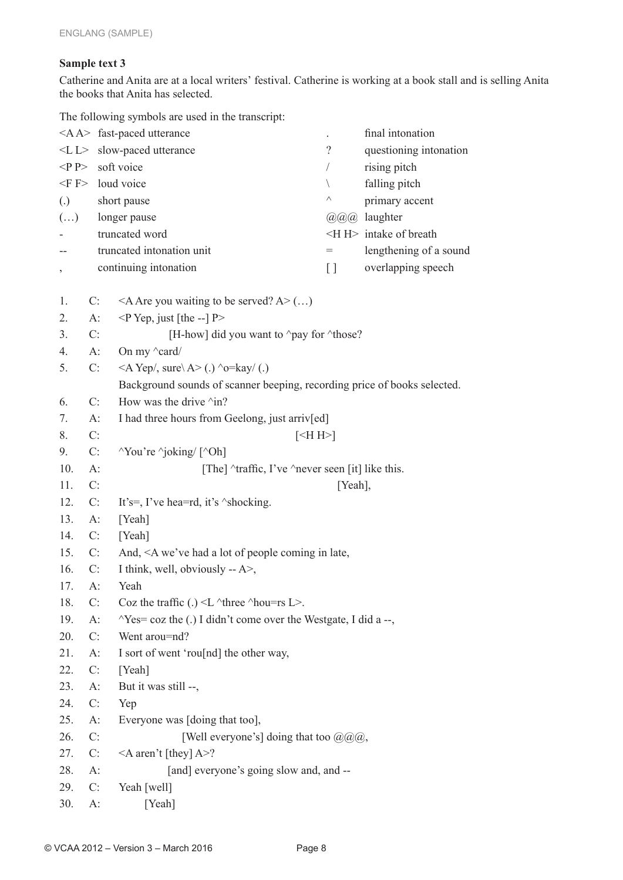#### **Sample text 3**

Catherine and Anita are at a local writers' festival. Catherine is working at a book stall and is selling Anita the books that Anita has selected.

The following symbols are used in the transcript:

| final intonation<br><a a=""> fast-paced utterance<br/><math>\ddot{\phantom{0}}</math></a> |                       |                                                                                          |                |                               |  |  |
|-------------------------------------------------------------------------------------------|-----------------------|------------------------------------------------------------------------------------------|----------------|-------------------------------|--|--|
| $<\!\!L\!\!>$                                                                             |                       | slow-paced utterance                                                                     | $\overline{?}$ | questioning intonation        |  |  |
| $\langle P \rangle$                                                                       |                       | soft voice                                                                               | T              | rising pitch                  |  |  |
|                                                                                           |                       | $\leq$ F $>$ loud voice                                                                  | $\backslash$   | falling pitch                 |  |  |
| $\left( .\right)$                                                                         |                       | short pause                                                                              | Λ              | primary accent                |  |  |
| $(\ldots)$                                                                                |                       | longer pause                                                                             |                | @@@ laughter                  |  |  |
|                                                                                           |                       | truncated word                                                                           |                | $\leq$ H $>$ intake of breath |  |  |
|                                                                                           |                       | truncated intonation unit                                                                | $=$            | lengthening of a sound        |  |  |
|                                                                                           | continuing intonation |                                                                                          |                | overlapping speech            |  |  |
|                                                                                           |                       |                                                                                          |                |                               |  |  |
| 1.                                                                                        | C:                    | $\leq$ A Are you waiting to be served? A $\geq$ ()                                       |                |                               |  |  |
| 2.                                                                                        | $A$ :                 | $\leq P$ Yep, just [the --] P>                                                           |                |                               |  |  |
| 3.                                                                                        | C:                    | [H-how] did you want to ^pay for ^those?                                                 |                |                               |  |  |
| 4.                                                                                        | $A$ :                 | On my $\alpha$ ard/                                                                      |                |                               |  |  |
| 5.                                                                                        | C:                    | $\langle A \text{Yep}\rangle$ , sure $\langle A \rangle$ (.) $\sim$ o=kay/(.)            |                |                               |  |  |
|                                                                                           |                       | Background sounds of scanner beeping, recording price of books selected.                 |                |                               |  |  |
| 6.                                                                                        | C:                    | How was the drive $\land$ in?                                                            |                |                               |  |  |
| 7.                                                                                        | $A$ :                 | I had three hours from Geelong, just arriv[ed]                                           |                |                               |  |  |
| 8.                                                                                        | C:                    | $\leq H H$                                                                               |                |                               |  |  |
| 9.                                                                                        | $C$ :                 | $\gamma$ You're $\gamma$ joking/ [ $\gamma$ Oh]                                          |                |                               |  |  |
| 10.                                                                                       | $A$ :                 | [The] $\text{``traffic, I've ``never seen [it] like this.}$                              |                |                               |  |  |
| 11.                                                                                       | C:                    | [Yeah],                                                                                  |                |                               |  |  |
| 12.                                                                                       | C:                    | It's=, I've hea=rd, it's ^shocking.                                                      |                |                               |  |  |
| 13.                                                                                       | $A$ :                 | [Yeah]                                                                                   |                |                               |  |  |
| 14.                                                                                       | $C$ :                 | [Yeah]                                                                                   |                |                               |  |  |
| 15.                                                                                       | $C$ :                 | And, <a a="" coming="" had="" in="" late,<="" lot="" of="" people="" td="" we've=""></a> |                |                               |  |  |
| 16.                                                                                       | C:                    | I think, well, obviously $-A$ ,                                                          |                |                               |  |  |
| 17.                                                                                       | $A$ :                 | Yeah                                                                                     |                |                               |  |  |
| 18.                                                                                       | C:                    | Coz the traffic (.) $\leq L \text{ 'three 'hou=rs } L$ .                                 |                |                               |  |  |
| 19.                                                                                       | $A$ :                 | $\gamma$ Yes= coz the (.) I didn't come over the Westgate, I did a --,                   |                |                               |  |  |
| 20.                                                                                       | C:                    | Went arou=nd?                                                                            |                |                               |  |  |
| 21.                                                                                       | $A$ :                 | I sort of went 'rou[nd] the other way,                                                   |                |                               |  |  |
| 22.                                                                                       | $C$ :                 | [Yeah]                                                                                   |                |                               |  |  |
| 23.                                                                                       | $A$ :                 | But it was still --,                                                                     |                |                               |  |  |
| 24.                                                                                       | C:                    | Yep                                                                                      |                |                               |  |  |
| 25.                                                                                       | $A$ :                 | Everyone was [doing that too],                                                           |                |                               |  |  |
| 26.                                                                                       | C:                    | [Well everyone's] doing that too $(\partial \Omega)$ $(\partial \Omega)$ ,               |                |                               |  |  |
| 27.                                                                                       | C:                    | $\leq$ A aren't [they] A>?                                                               |                |                               |  |  |
| 28.                                                                                       | $A$ :                 | [and] everyone's going slow and, and --                                                  |                |                               |  |  |
| 29.                                                                                       | C:                    | Yeah [well]                                                                              |                |                               |  |  |
| 30.                                                                                       | $A$ :                 | [Yeah]                                                                                   |                |                               |  |  |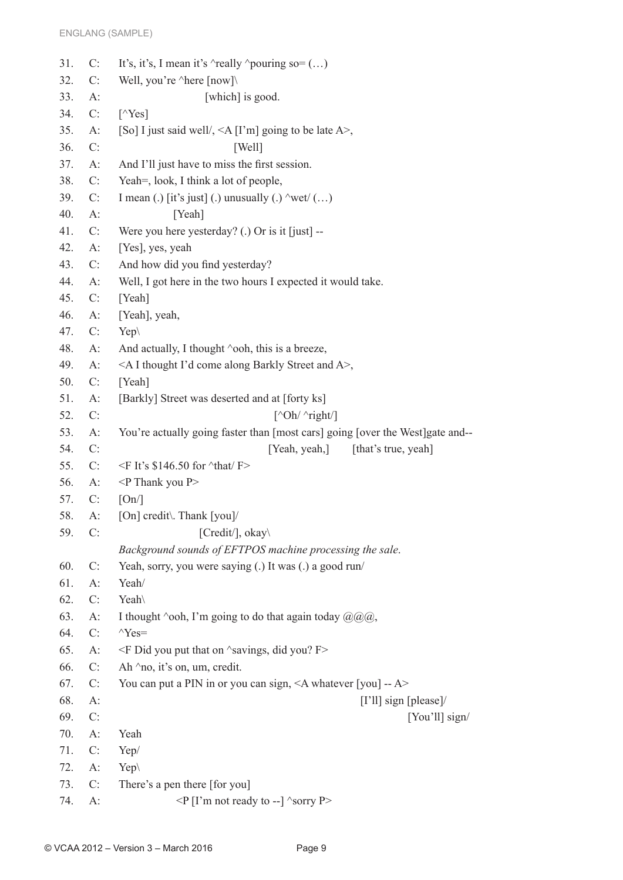| 31. | C:    | It's, it's, I mean it's $\land$ really $\land$ pouring so= ()                    |
|-----|-------|----------------------------------------------------------------------------------|
| 32. | C:    | Well, you're ^here [now]\                                                        |
| 33. | $A$ : | [which] is good.                                                                 |
| 34. | C:    | $\lceil \sqrt{Yes} \rceil$                                                       |
| 35. | $A$ : | [So] I just said well/, $\leq$ A [I'm] going to be late A $>$ ,                  |
| 36. | C:    | [Well]                                                                           |
| 37. | $A$ : | And I'll just have to miss the first session.                                    |
| 38. | C:    | Yeah=, look, I think a lot of people,                                            |
| 39. | C:    | I mean (.) [it's just] (.) unusually (.) $\wedge$ wet $\vee$ ()                  |
| 40. | $A$ : | [Yeah]                                                                           |
| 41. | C:    | Were you here yesterday? (.) Or is it [just] --                                  |
| 42. | $A$ : | [Yes], yes, yeah                                                                 |
| 43. | C:    | And how did you find yesterday?                                                  |
| 44. | $A$ : | Well, I got here in the two hours I expected it would take.                      |
| 45. | C:    | [Yeah]                                                                           |
| 46. | $A$ : | [Yeah], yeah,                                                                    |
| 47. | C:    | $Yep\$                                                                           |
| 48. | A:    | And actually, I thought 'ooh, this is a breeze,                                  |
| 49. | $A$ : | <a a="" along="" and="" barkly="" come="" i="" i'd="" street="" thought="">,</a> |
| 50. | C:    | [Yeah]                                                                           |
| 51. | $A$ : | [Barkly] Street was deserted and at [forty ks]                                   |
| 52. | C:    | $\lceil \Delta \text{Oh}/\Delta \text{right}/\rceil$                             |
| 53. | $A$ : | You're actually going faster than [most cars] going [over the West] gate and--   |
| 54. | C:    | [Yeah, yeah,] [that's true, yeah]                                                |
| 55. | C:    | $\leq$ F It's \$146.50 for $\text{that}$ F>                                      |
| 56. | $A$ : | <p p="" thank="" you=""></p>                                                     |
| 57. | C:    | [On]                                                                             |
| 58. | $A$ : | [On] credit\. Thank [you]/                                                       |
| 59. | C:    | [Credit/], okay $\setminus$                                                      |
|     |       | Background sounds of EFTPOS machine processing the sale.                         |
| 60. | C:    | Yeah, sorry, you were saying (.) It was (.) a good run/                          |
| 61. | $A$ : | Yeah/                                                                            |
| 62. | C:    | Yeah                                                                             |
| 63. | $A$ : | I thought 'ooh, I'm going to do that again today $(\partial Q)(\partial Q)$ ,    |
| 64. | C:    | $Y$ es=                                                                          |
| 65. | $A$ : | $\leq$ F Did you put that on $\wedge$ savings, did you? F $>$                    |
| 66. | C:    | Ah $\land$ no, it's on, um, credit.                                              |
| 67. | C:    | You can put a PIN in or you can sign, $\leq$ A whatever [you] -- A>              |
| 68. | $A$ : | [ $I'll$ ] sign [please]/                                                        |
| 69. | C:    | [You'll] sign/                                                                   |
| 70. | $A$ : | Yeah                                                                             |
| 71. | C:    | Yep/                                                                             |
| 72. | A:    | $Yep\$                                                                           |
| 73. | C:    | There's a pen there [for you]                                                    |
| 74. | $A$ : | $\leq$ P [I'm not ready to --] $\sim$ sorry P $>$                                |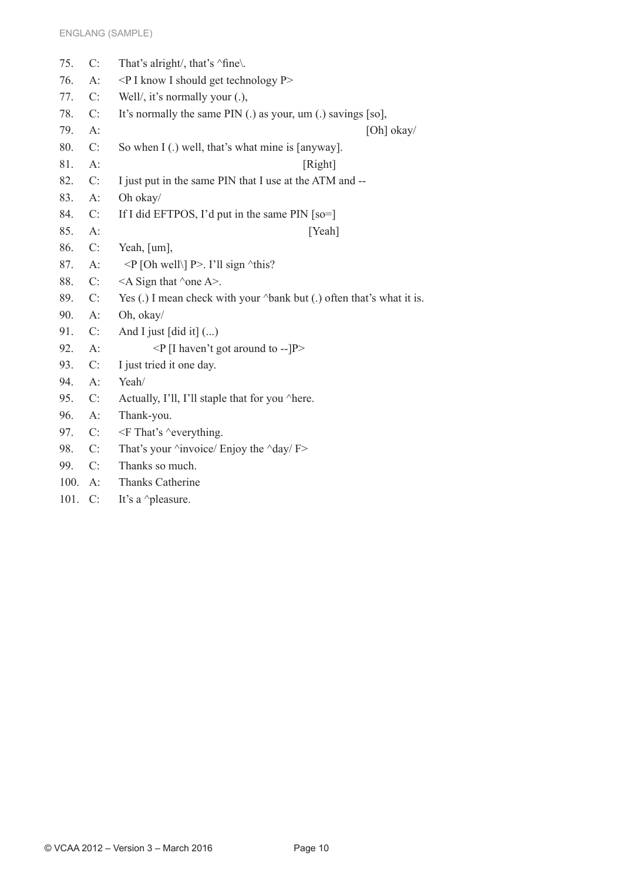| 75.  | C:    | That's alright/, that's 'fine\.                                       |
|------|-------|-----------------------------------------------------------------------|
| 76.  | $A$ : | $\leq P$ I know I should get technology P $>$                         |
| 77.  | C:    | Well/, it's normally your $(.)$ ,                                     |
| 78.  | C:    | It's normally the same PIN (.) as your, um (.) savings [so],          |
| 79.  | $A$ : | [Oh] $okay/$                                                          |
| 80.  | C:    | So when I (.) well, that's what mine is [anyway].                     |
| 81.  | $A$ : | [Right]                                                               |
| 82.  | C:    | I just put in the same PIN that I use at the ATM and --               |
| 83.  | $A$ : | Oh okay/                                                              |
| 84.  | C:    | If I did EFTPOS, I'd put in the same PIN $\lceil$ so= $\rceil$        |
| 85.  | $A$ : | [Yeah]                                                                |
| 86.  | C:    | Yeah, [um],                                                           |
| 87.  | $A$ : | $\langle P  $ [Oh well\] P>. I'll sign $\land$ this?                  |
| 88.  | C:    | $\leq$ A Sign that $\land$ one A $\geq$ .                             |
| 89.  | C:    | Yes (.) I mean check with your ^bank but (.) often that's what it is. |
| 90.  | $A$ : | Oh, okay/                                                             |
| 91.  | C:    | And I just $\lceil \text{did it} \rceil$ ()                           |
| 92.  | $A$ : | $\langle P   I$ haven't got around to -- $  P \rangle$                |
| 93.  | C:    | I just tried it one day.                                              |
| 94.  | $A$ : | Yeah/                                                                 |
| 95.  | C:    | Actually, I'll, I'll staple that for you ^here.                       |
| 96.  | $A$ : | Thank-you.                                                            |
| 97.  | C:    | $\leq$ F That's $\sim$ everything.                                    |
| 98.  | C:    | That's your $\land$ invoice/ Enjoy the $\land$ day/ F>                |
| 99.  | C:    | Thanks so much.                                                       |
| 100. | $A$ : | <b>Thanks Catherine</b>                                               |
| 101. | C:    | It's a ^pleasure.                                                     |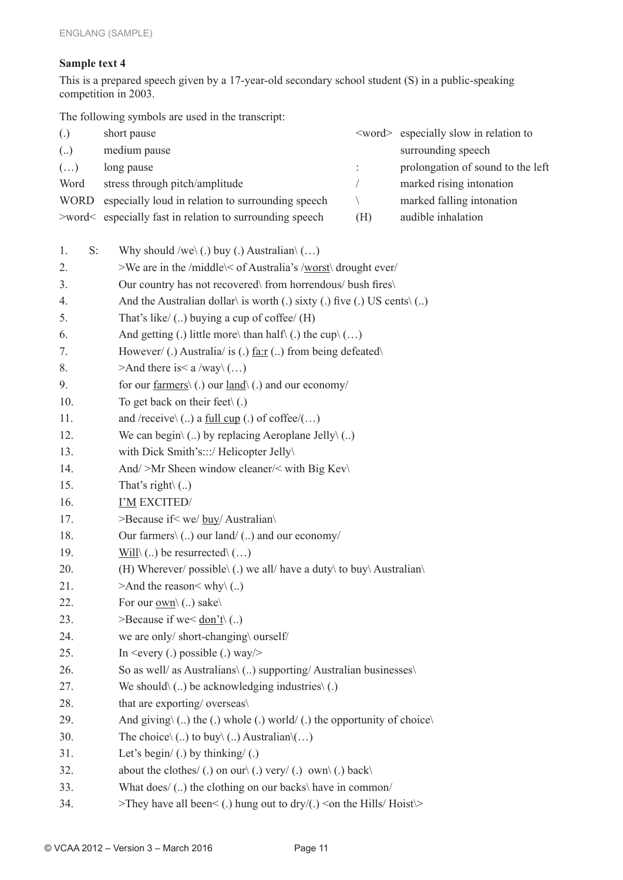#### **Sample text 4**

This is a prepared speech given by a 17-year-old secondary school student (S) in a public-speaking competition in 2003.

The following symbols are used in the transcript:

| $\left( .\right)$     | short pause                                                                              |                                                                          | <word> especially slow in relation to</word> |  |  |  |  |
|-----------------------|------------------------------------------------------------------------------------------|--------------------------------------------------------------------------|----------------------------------------------|--|--|--|--|
| (.)                   | medium pause                                                                             |                                                                          | surrounding speech                           |  |  |  |  |
| $\left(\ldots\right)$ | long pause                                                                               | $\ddot{\cdot}$                                                           | prolongation of sound to the left            |  |  |  |  |
| Word                  | stress through pitch/amplitude                                                           |                                                                          | marked rising intonation                     |  |  |  |  |
| <b>WORD</b>           | especially loud in relation to surrounding speech                                        | $\setminus$                                                              | marked falling intonation                    |  |  |  |  |
|                       | >word< especially fast in relation to surrounding speech                                 | (H)                                                                      | audible inhalation                           |  |  |  |  |
|                       |                                                                                          |                                                                          |                                              |  |  |  |  |
| $S$ :<br>1.           | Why should /we\ (.) buy (.) Australian\ $()$                                             |                                                                          |                                              |  |  |  |  |
| 2.                    | >We are in the /middle\< of Australia's /worst\ drought ever/                            |                                                                          |                                              |  |  |  |  |
| 3.                    |                                                                                          | Our country has not recovered\from horrendous/ bush fires\               |                                              |  |  |  |  |
| 4.                    |                                                                                          | And the Australian dollar is worth (.) sixty (.) five (.) US cents $($ ) |                                              |  |  |  |  |
| 5.                    | That's like/ $(.)$ buying a cup of coffee/ $(H)$                                         |                                                                          |                                              |  |  |  |  |
| 6.                    |                                                                                          | And getting (.) little more\ than half\ (.) the cup\ $()$                |                                              |  |  |  |  |
| 7.                    |                                                                                          | However/ (.) Australia/ is (.) $\underline{far}$ () from being defeated  |                                              |  |  |  |  |
| 8.                    | >And there is< a /way \()                                                                |                                                                          |                                              |  |  |  |  |
| 9.                    | for our $\frac{farmers}{(.)}$ our $\frac{land}{(.)}$ and our economy/                    |                                                                          |                                              |  |  |  |  |
| 10.                   | To get back on their feet $\setminus$ (.)                                                |                                                                          |                                              |  |  |  |  |
| 11.                   | and /receive $\langle  \rangle$ a <u>full cup</u> (.) of coffee/()                       |                                                                          |                                              |  |  |  |  |
| 12.                   | We can begin $\langle  \rangle$ by replacing Aeroplane Jelly $\langle  \rangle$          |                                                                          |                                              |  |  |  |  |
| 13.                   | with Dick Smith's:::/ Helicopter Jelly\                                                  |                                                                          |                                              |  |  |  |  |
| 14.                   | And/>Mr Sheen window cleaner/< with Big Kev\                                             |                                                                          |                                              |  |  |  |  |
| 15.                   | That's right $\langle  \rangle$                                                          |                                                                          |                                              |  |  |  |  |
| 16.                   | I'M EXCITED/                                                                             |                                                                          |                                              |  |  |  |  |
| 17.                   | >Because if< we/ buy/ Australian\                                                        |                                                                          |                                              |  |  |  |  |
| 18.                   | Our farmers $\langle$ ) our land/ $\langle$ ) and our economy/                           |                                                                          |                                              |  |  |  |  |
| 19.                   | Will $\langle  \rangle$ be resurrected $\langle  \rangle$                                |                                                                          |                                              |  |  |  |  |
| 20.                   | (H) Wherever/ possible \(.) we all/ have a duty \ to buy \ Australian \                  |                                                                          |                                              |  |  |  |  |
| 21.                   | >And the reason< why $\langle$ )                                                         |                                                                          |                                              |  |  |  |  |
| 22.                   | For our $\underline{\text{own}} \setminus (.)$ sake                                      |                                                                          |                                              |  |  |  |  |
| 23.                   | >Because if we< $\frac{don't}{l}$ ()                                                     |                                                                          |                                              |  |  |  |  |
| 24.                   | we are only/short-changing\ ourself/                                                     |                                                                          |                                              |  |  |  |  |
| 25.                   | In $\leq$ every (.) possible (.) way $\geq$                                              |                                                                          |                                              |  |  |  |  |
| 26.                   | So as well/ as Australians\ () supporting/ Australian businesses\                        |                                                                          |                                              |  |  |  |  |
| 27.                   | We should $(.)$ be acknowledging industries $(.)$                                        |                                                                          |                                              |  |  |  |  |
| 28.                   | that are exporting/overseas\                                                             |                                                                          |                                              |  |  |  |  |
| 29.                   | And giving $(.)$ the $(.)$ whole $(.)$ world $(.)$ the opportunity of choice $\setminus$ |                                                                          |                                              |  |  |  |  |
| 30.                   | The choice $\langle  \rangle$ to buy $\langle  \rangle$ Australian $\langle  \rangle$    |                                                                          |                                              |  |  |  |  |
| 31.                   | Let's begin/ $(.)$ by thinking/ $(.)$                                                    |                                                                          |                                              |  |  |  |  |
| 32.                   | about the clothes/(.) on our $\langle$ (.) very/(.) own $\langle$ (.) back $\langle$     |                                                                          |                                              |  |  |  |  |
| 33.                   | What does/ () the clothing on our backs\ have in common/                                 |                                                                          |                                              |  |  |  |  |
| 34.                   | >They have all been $\lt$ (.) hung out to dry/(.) $\lt$ on the Hills/ Hoist $\gt$        |                                                                          |                                              |  |  |  |  |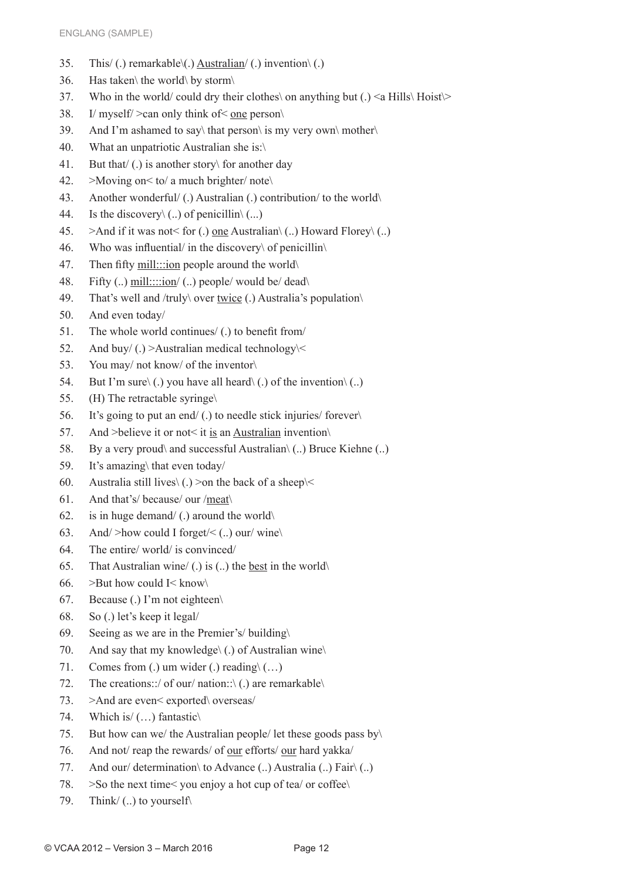- 35. This/ (.) remarkable\(.) Australian/ (.) invention\ (.)
- 36. Has taken\ the world\ by storm\
- 37. Who in the world/ could dry their clothes\ on anything but (.) <a Hills\ Hoist\>
- 38. I/ myself/ >can only think of< one person\
- 39. And I'm ashamed to say\ that person\ is my very own\ mother\
- 40. What an unpatriotic Australian she is:\
- 41. But that/ (.) is another story\ for another day
- 42. >Moving on< to/ a much brighter/ note\
- 43. Another wonderful/ (.) Australian (.) contribution/ to the world\
- 44. Is the discovery  $\langle ... \rangle$  of penicillin $\langle ... \rangle$
- 45.  $\Rightarrow$  And if it was not< for (.) one Australian\ (..) Howard Florey\ (..)
- 46. Who was influential/ in the discovery\ of penicillin\
- 47. Then fifty mill:::ion people around the world\
- 48. Fifty (..) mill::::ion/ (..) people/ would be/ dead\
- 49. That's well and /truly\ over twice (.) Australia's population\
- 50. And even today/
- 51. The whole world continues/ (.) to benefit from/
- 52. And buy/ $(.)$  >Australian medical technology  $\le$
- 53. You may/ not know/ of the inventor\
- 54. But I'm sure $\setminus$  (.) you have all heard $\setminus$  (.) of the invention $\setminus$  (..)
- 55. (H) The retractable syringe\
- 56. It's going to put an end/ (.) to needle stick injuries/ forever\
- 57. And >believe it or not< it is an Australian invention\
- 58. By a very proud\ and successful Australian\ (..) Bruce Kiehne (..)
- 59. It's amazing\ that even today/
- 60. Australia still lives  $\langle . \rangle$  > on the back of a sheep  $\langle \langle$
- 61. And that's/ because/ our /meat\
- 62. is in huge demand/ (.) around the world $\setminus$
- 63. And/ $>$ how could I forget/ $\lt$  (..) our/wine
- 64. The entire/ world/ is convinced/
- 65. That Australian wine/ (.) is (..) the best in the world $\setminus$
- 66. >But how could  $I$  < know
- 67. Because (.) I'm not eighteen\
- 68. So (.) let's keep it legal/
- 69. Seeing as we are in the Premier's/ building $\langle$
- 70. And say that my knowledge\ (.) of Australian wine\
- 71. Comes from (.) um wider (.) reading  $(\ldots)$
- 72. The creations::/ of our/ nation::\ (.) are remarkable\
- 73. >And are even< exported\ overseas/
- 74. Which is/ (…) fantastic\
- 75. But how can we/ the Australian people/ let these goods pass by
- 76. And not/ reap the rewards/ of our efforts/ our hard yakka/
- 77. And our/ determination\ to Advance  $(.)$  Australia  $(.)$  Fair $\setminus(.)$
- 78. >So the next time< you enjoy a hot cup of tea/ or coffee\
- 79. Think/ (..) to yourself\